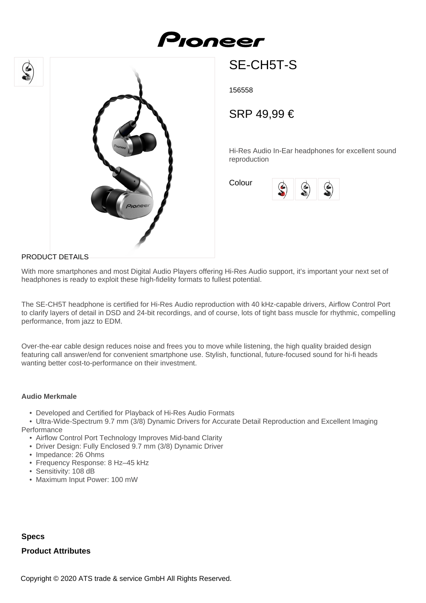# Proneer





SE-CH5T-S

156558

## SRP 49,99 €

Hi-Res Audio In-Ear headphones for excellent sound reproduction

Colour



#### PRODUCT DETAILS

With more smartphones and most Digital Audio Players offering Hi-Res Audio support, it's important your next set of headphones is ready to exploit these high-fidelity formats to fullest potential.

The SE-CH5T headphone is certified for Hi-Res Audio reproduction with 40 kHz-capable drivers, Airflow Control Port to clarify layers of detail in DSD and 24-bit recordings, and of course, lots of tight bass muscle for rhythmic, compelling performance, from jazz to EDM.

Over-the-ear cable design reduces noise and frees you to move while listening, the high quality braided design featuring call answer/end for convenient smartphone use. Stylish, functional, future-focused sound for hi-fi heads wanting better cost-to-performance on their investment.

#### **Audio Merkmale**

- Developed and Certified for Playback of Hi-Res Audio Formats
- Ultra-Wide-Spectrum 9.7 mm (3/8) Dynamic Drivers for Accurate Detail Reproduction and Excellent Imaging **Performance** 
	- Airflow Control Port Technology Improves Mid-band Clarity
	- Driver Design: Fully Enclosed 9.7 mm (3/8) Dynamic Driver
	- Impedance: 26 Ohms
	- Frequency Response: 8 Hz–45 kHz
	- Sensitivity: 108 dB
	- Maximum Input Power: 100 mW

### **Specs Product Attributes**

Copyright © 2020 ATS trade & service GmbH All Rights Reserved.